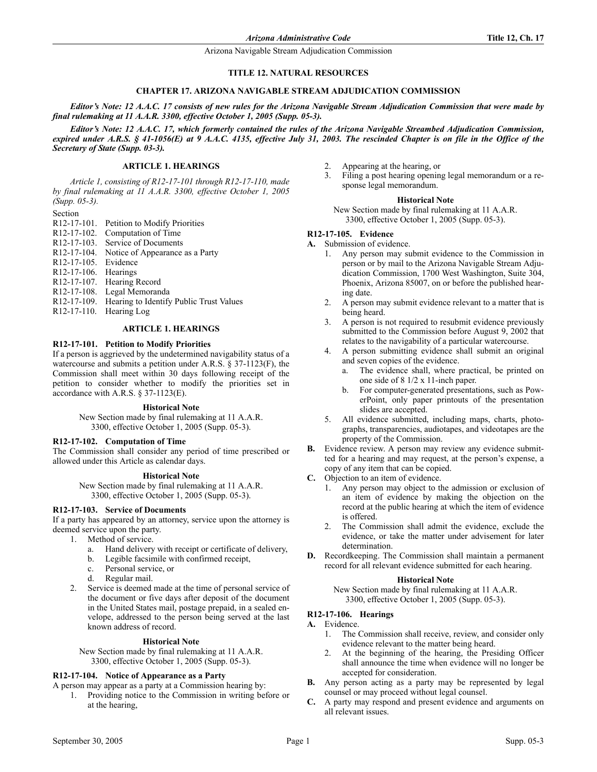Arizona Navigable Stream Adjudication Commission

#### **TITLE 12. NATURAL RESOURCES**

#### **CHAPTER 17. ARIZONA NAVIGABLE STREAM ADJUDICATION COMMISSION**

*Editor's Note: 12 A.A.C. 17 consists of new rules for the Arizona Navigable Stream Adjudication Commission that were made by final rulemaking at 11 A.A.R. 3300, effective October 1, 2005 (Supp. 05-3).*

*Editor's Note: 12 A.A.C. 17, which formerly contained the rules of the Arizona Navigable Streambed Adjudication Commission, expired under A.R.S. § 41-1056(E) at 9 A.A.C. 4135, effective July 31, 2003. The rescinded Chapter is on file in the Office of the Secretary of State (Supp. 03-3).*

# **ARTICLE 1. HEARINGS**

*Article 1, consisting of R12-17-101 through R12-17-110, made by final rulemaking at 11 A.A.R. 3300, effective October 1, 2005 (Supp. 05-3).*

Section

- R12-17-101. Petition to Modify Priorities
- R12-17-102. Computation of Time
- R12-17-103. Service of Documents
- R12-17-104. Notice of Appearance as a Party
- R12-17-105. Evidence
- R12-17-106. Hearings
- R12-17-107. Hearing Record
- R12-17-108. Legal Memoranda
- R12-17-109. Hearing to Identify Public Trust Values
- R12-17-110. Hearing Log

### **ARTICLE 1. HEARINGS**

#### **R12-17-101. Petition to Modify Priorities**

If a person is aggrieved by the undetermined navigability status of a watercourse and submits a petition under A.R.S. § 37-1123(F), the Commission shall meet within 30 days following receipt of the petition to consider whether to modify the priorities set in accordance with A.R.S. § 37-1123(E).

#### **Historical Note**

New Section made by final rulemaking at 11 A.A.R. 3300, effective October 1, 2005 (Supp. 05-3).

#### **R12-17-102. Computation of Time**

The Commission shall consider any period of time prescribed or allowed under this Article as calendar days.

### **Historical Note**

New Section made by final rulemaking at 11 A.A.R. 3300, effective October 1, 2005 (Supp. 05-3).

#### **R12-17-103. Service of Documents**

If a party has appeared by an attorney, service upon the attorney is deemed service upon the party.

- 1. Method of service.
	- a. Hand delivery with receipt or certificate of delivery,
	- b. Legible facsimile with confirmed receipt,
	- c. Personal service, or
	- d. Regular mail.
	- 2. Service is deemed made at the time of personal service of the document or five days after deposit of the document in the United States mail, postage prepaid, in a sealed envelope, addressed to the person being served at the last known address of record.

### **Historical Note**

New Section made by final rulemaking at 11 A.A.R. 3300, effective October 1, 2005 (Supp. 05-3).

#### **R12-17-104. Notice of Appearance as a Party**

A person may appear as a party at a Commission hearing by:

1. Providing notice to the Commission in writing before or at the hearing,

- 2. Appearing at the hearing, or<br> $\frac{3}{2}$  Filing a post hearing opening
- Filing a post hearing opening legal memorandum or a response legal memorandum.

#### **Historical Note**

New Section made by final rulemaking at 11 A.A.R. 3300, effective October 1, 2005 (Supp. 05-3).

#### **R12-17-105. Evidence**

- **A.** Submission of evidence.
	- 1. Any person may submit evidence to the Commission in person or by mail to the Arizona Navigable Stream Adjudication Commission, 1700 West Washington, Suite 304, Phoenix, Arizona 85007, on or before the published hearing date.
	- 2. A person may submit evidence relevant to a matter that is being heard.
	- 3. A person is not required to resubmit evidence previously submitted to the Commission before August 9, 2002 that relates to the navigability of a particular watercourse.
	- 4. A person submitting evidence shall submit an original and seven copies of the evidence.
		- a. The evidence shall, where practical, be printed on one side of 8 1/2 x 11-inch paper.
		- b. For computer-generated presentations, such as PowerPoint, only paper printouts of the presentation slides are accepted.
	- 5. All evidence submitted, including maps, charts, photographs, transparencies, audiotapes, and videotapes are the property of the Commission.
- **B.** Evidence review. A person may review any evidence submitted for a hearing and may request, at the person's expense, a copy of any item that can be copied.
- **C.** Objection to an item of evidence.
	- 1. Any person may object to the admission or exclusion of an item of evidence by making the objection on the record at the public hearing at which the item of evidence is offered.
	- 2. The Commission shall admit the evidence, exclude the evidence, or take the matter under advisement for later determination.
- **D.** Recordkeeping. The Commission shall maintain a permanent record for all relevant evidence submitted for each hearing.

#### **Historical Note**

New Section made by final rulemaking at 11 A.A.R. 3300, effective October 1, 2005 (Supp. 05-3).

### **R12-17-106. Hearings**

### **A.** Evidence.

- 1. The Commission shall receive, review, and consider only evidence relevant to the matter being heard.
- 2. At the beginning of the hearing, the Presiding Officer shall announce the time when evidence will no longer be accepted for consideration.
- **B.** Any person acting as a party may be represented by legal counsel or may proceed without legal counsel.
- **C.** A party may respond and present evidence and arguments on all relevant issues.